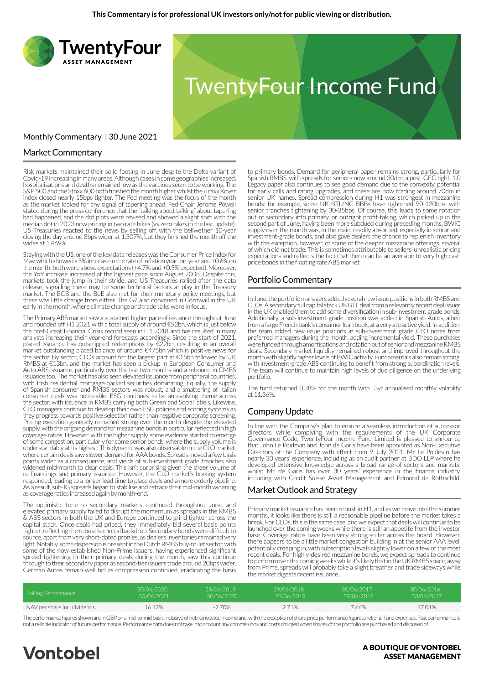

## Market Commentary

Risk markets maintained their solid footing in June despite the Delta variant of Covid-19 increasing in many areas. Although cases in some geographies increased, hospitalisations and deaths remained low as the vaccines seem to be working. The S&P 500 and the Stoxx 600 both finished the month higher whilst the iTraxx Xover index closed nearly 15bps tighter. The Fed meeting was the focus of the month as the market looked for any signal of tapering ahead. Fed Chair Jerome Powell stated during the press conference that the "talking about talking" about tapering had happened, and the dot plots were revised and showed a slight shift with the median dot in 2023 now pricing in two rate hikes (vs zero hikes in the last update). US Treasuries reacted to the news by selling off, with the bellwether 10-year closing the day around 8bps wider at 1.507%, but they finished the month off the wides at 1.469%.

Staying with the US, one of the key data releases was the Consumer Price Index for May, which showed a 5% increase in the rate of inflation year-on-year and +0.6% on the month; both were above expectations (+4.7% and +0.5% expected). Moreover, the YoY increase increased at the highest pace since August 2008. Despite this, markets took the jump in their stride, and US Treasuries rallied after the data release, signalling there may be some technical factors at play in the Treasury market. The ECB and the BoE also met for their monetary policy meetings, but there was little change from either. The G7 also convened in Cornwall in the UK early in the month, where climate change and trade talks were in focus.

The Primary ABS market saw a sustained higher pace of issuance throughout June and rounded off H1 2021 with a total supply of around €52bn, which is just below the post-Great Financial Crisis record seen in H1 2018 and has resulted in many analysts increasing their year-end forecasts accordingly. Since the start of 2021, placed issuance has outstripped redemptions by €22bn, resulting in an overall market outstanding placed balance of around €475bn which is positive news for the sector. By sector, CLOs account for the largest part at €15bn followed by UK RMBS at €13bn, and the market has seen a pickup in European Consumer and Auto ABS issuance, particularly over the last two months and a rebound in CMBS issuance too. The market has also seen elevated issuance from peripheral countries, with Irish residential mortgage-backed securities dominating. Equally, the supply of Spanish consumer and RMBS sectors was robust, and a smattering of Italian consumer deals was noticeable. ESG continues to be an evolving theme across the sector, with issuance in RMBS carrying both Green and Social labels. Likewise, CLO managers continue to develop their own ESG policies and scoring systems as they progress towards positive selection rather than negative corporate screening. Pricing execution generally remained strong over the month despite the elevated supply, with the ongoing demand for mezzanine bonds in particular reflected in high coverage ratios. However, with the higher supply, some evidence started to emerge of some congestion, particularly for some senior bonds, where the supply volume is understandably at its highest. This dynamic was also observable in the CLO market, where certain deals saw slower demand for AAA bonds. Spreads moved a few basis points wider as a consequence, and yields of sub-investment grade tranches also widened mid-month to clear deals. This isn't surprising given the sheer volume of re-financings and primary issuance. However, the CLO market's braking system responded, leading to a longer lead time to place deals and a more orderly pipeline. As a result, sub-IG spreads began to stabilise and retrace their mid-month widening as coverage ratios increased again by month-end.

The optimistic tone to secondary markets continued throughout June, and elevated primary supply failed to disrupt the momentum as spreads in the RMBS & ABS sectors in both the UK and Europe continued to grind tighter across the capital stack. Once deals had priced, they immediately bid several basis points tighter, reflecting the robust technical backdrop. Secondary bonds were difficult to source, apart from very short-dated profiles, as dealers inventories remained very light. Notably, some dispersion is present in the Dutch RMBS buy-to-let sector, with some of the now established Non-Prime issuers, having experienced significant spread tightening in their primary deals during the month, saw this continue through to their secondary paper as second-tier issuers trade around 20bps wider. German Autos remain well bid as compression continued, eradicating the basis

to primary bonds. Demand for peripheral paper remains strong, particularly for Spanish RMBS, with spreads for seniors now around 30dm; a post-GFC tight. 1.0 Legacy paper also continues to see good demand due to the convexity, potential for early calls and rating upgrades, and these are now trading around 70dm in senior UK names. Spread compression during H1 was strongest in mezzanine bonds; for example, some UK BTL/NC BBBs have tightened 90-120bps, with senior tranches tightening by 30-35bps. Of course, this leads to some rotation out of secondary into primary, or outright profit-taking, which picked up in the second part of June, having been more subdued during preceding months. BWIC supply over the month was, in the main, readily absorbed, especially in senior and investment-grade bonds, and also gave dealers the chance to replenish inventory with the exception, however, of some of the deeper mezzanine offerings, several of which did not trade. This is sometimes attributable to sellers' unrealistic pricing expectations and reflects the fact that there can be an aversion to very high cash price bonds in the floating rate ABS market.

#### Portfolio Commentary

In June, the portfolio managers added several new issue positions in both RMBS and CLOs. A secondary full capital stack UK BTL deal from a relevantly recent deal issuer in the UK enabled them to add some diversification in sub-investment grade bonds. Additionally, a sub-investment grade position was added in Spanish Autos, albeit from a large French bank's consumer loan book, at a very attractive yield. In addition, the team added new issue positions in sub-investment grade CLO notes from preferred managers during the month, adding incremental yield. These purchases were funded through amortisations and rotation out of senior and mezzanine RMBS deals. Secondary market liquidity remained robust and improved throughout the month with slightly higher levels of BWIC activity. Fundamentals also remain strong, with investment-grade ABS continuing to benefit from strong subordination levels. The team will continue to maintain high levels of due diligence on the underlying portfolio.

The fund returned 0.38% for the month with 3yr annualised monthly volatility at 11.36%.

#### Company Update

In line with the Company's plan to ensure a seamless introduction of successor directors while complying with the requirements of the UK Corporate Governance Code, TwentyFour Income Fund Limited is pleased to announce that John Le Poidevin and John de Garis have been appointed as Non-Executive Directors of the Company with effect from 9 July 2021. Mr Le Poidevin has nearly 30 years' experience, including as an audit partner at BDO LLP where he developed extensive knowledge across a broad range of sectors and markets, whilst Mr de Garis has over 30 years' experience in the finance industry, including with Credit Suisse Asset Management and Edmond de Rothschild.

#### Market Outlook and Strategy

Primary market issuance has been robust in H1, and as we move into the summer months, it looks like there is still a reasonable pipeline before the market takes a break. For CLOs, this is the same case, and we expect that deals will continue to be launched over the coming weeks while there is still an appetite from the investor base. Coverage ratios have been very strong so far across the board. However, there appears to be a little market congestion building in at the senior AAA level, potentially creeping in, with subscription levels slightly lower on a few of the most recent deals. For highly-desired mezzanine bonds, we expect spreads to continue to perform over the coming weeks while it's likely that in the UK RMBS space, away from Prime, spreads will probably take a slight breather and trade sideways while the market digests recent issuance.

| Rolling Performance          | 30/06/2020 - | - 28/06/2019 | 29/06/2018 - | $30/06/2017 -$ | $30/06/2016 -$ |
|------------------------------|--------------|--------------|--------------|----------------|----------------|
|                              | 30/06/2021   | 30/06/2020   | 28/06/2019   | 29/06/2018     | 30/06/2017     |
| NAV per share inc. dividends | 16.12%       | -2.70%       | 2.71%        | 7.66%          | 17.01%         |

The performance figures shown are in GBP on a mid-to-mid basis inclusive of net reinvested income and, with the exception of share price performance figures, net of all fund expenses. Past performance is not a reliable indicator of future performance. Performance data does not take into account any commissions and costs charged when shares of the portfolio are purchased and disposed of.

# **Vontobel**

#### A BOUTIQUE OF VONTOBEL **ASSET MANAGEMENT**